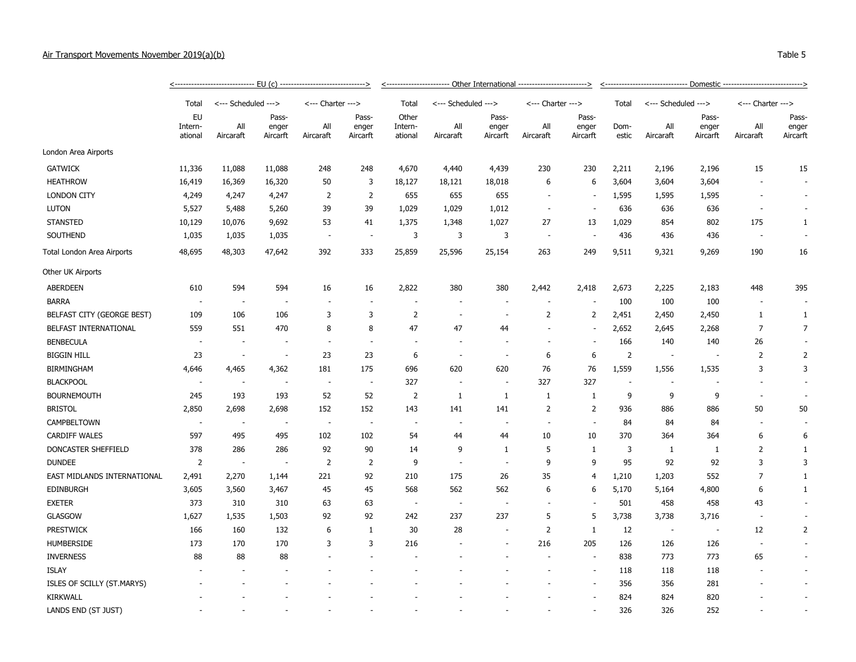## Air Transport Movements November 2019(a)(b) Table 5

|                             | <-------------------------------    EU (c) ------------------------------> |                          |                            |                          |                            |                                      |                          |                            |                          |                            |                |                          |                            |                          |                            |  |  |
|-----------------------------|----------------------------------------------------------------------------|--------------------------|----------------------------|--------------------------|----------------------------|--------------------------------------|--------------------------|----------------------------|--------------------------|----------------------------|----------------|--------------------------|----------------------------|--------------------------|----------------------------|--|--|
|                             | Total                                                                      |                          | <--- Scheduled --->        | <--- Charter --->        |                            | Total<br>Other<br>Intern-<br>ational | <--- Scheduled --->      |                            | <--- Charter --->        |                            | Total          | <--- Scheduled --->      |                            | <--- Charter --->        |                            |  |  |
|                             | <b>EU</b><br>Intern-<br>ational                                            | All<br>Aircaraft         | Pass-<br>enger<br>Aircarft | All<br>Aircaraft         | Pass-<br>enger<br>Aircarft |                                      | All<br>Aircaraft         | Pass-<br>enger<br>Aircarft | All<br>Aircaraft         | Pass-<br>enger<br>Aircarft | Dom-<br>estic  | All<br>Aircaraft         | Pass-<br>enger<br>Aircarft | All<br>Aircaraft         | Pass-<br>enger<br>Aircarft |  |  |
| London Area Airports        |                                                                            |                          |                            |                          |                            |                                      |                          |                            |                          |                            |                |                          |                            |                          |                            |  |  |
| <b>GATWICK</b>              | 11,336                                                                     | 11,088                   | 11,088                     | 248                      | 248                        | 4,670                                | 4,440                    | 4,439                      | 230                      | 230                        | 2,211          | 2,196                    | 2,196                      | 15                       | 15                         |  |  |
| <b>HEATHROW</b>             | 16,419                                                                     | 16,369                   | 16,320                     | 50                       | 3                          | 18,127                               | 18,121                   | 18,018                     | 6                        | 6                          | 3,604          | 3,604                    | 3,604                      |                          | $\overline{\phantom{a}}$   |  |  |
| <b>LONDON CITY</b>          | 4,249                                                                      | 4,247                    | 4,247                      | $\overline{2}$           | $\overline{2}$             | 655                                  | 655                      | 655                        | $\overline{\phantom{a}}$ | $\overline{\phantom{a}}$   | 1,595          | 1,595                    | 1,595                      |                          | $\overline{\phantom{a}}$   |  |  |
| <b>LUTON</b>                | 5,527                                                                      | 5,488                    | 5,260                      | 39                       | 39                         | 1,029                                | 1,029                    | 1,012                      | $\overline{\phantom{a}}$ |                            | 636            | 636                      | 636                        |                          |                            |  |  |
| <b>STANSTED</b>             | 10,129                                                                     | 10,076                   | 9,692                      | 53                       | 41                         | 1,375                                | 1,348                    | 1,027                      | 27                       | 13                         | 1,029          | 854                      | 802                        | 175                      | $\mathbf{1}$               |  |  |
| SOUTHEND                    | 1,035                                                                      | 1,035                    | 1,035                      | $\overline{a}$           | $\overline{\phantom{a}}$   | 3                                    | 3                        | 3                          | $\sim$                   |                            | 436            | 436                      | 436                        |                          |                            |  |  |
| Total London Area Airports  | 48,695                                                                     | 48,303                   | 47,642                     | 392                      | 333                        | 25,859                               | 25,596                   | 25,154                     | 263                      | 249                        | 9,511          | 9,321                    | 9,269                      | 190                      | 16                         |  |  |
| Other UK Airports           |                                                                            |                          |                            |                          |                            |                                      |                          |                            |                          |                            |                |                          |                            |                          |                            |  |  |
| <b>ABERDEEN</b>             | 610                                                                        | 594                      | 594                        | 16                       | 16                         | 2,822                                | 380                      | 380                        | 2,442                    | 2,418                      | 2,673          | 2,225                    | 2,183                      | 448                      | 395                        |  |  |
| <b>BARRA</b>                | $\sim$                                                                     | $\sim$                   |                            | $\overline{\phantom{a}}$ |                            | ÷,                                   |                          |                            | $\sim$                   |                            | 100            | 100                      | 100                        |                          |                            |  |  |
| BELFAST CITY (GEORGE BEST)  | 109                                                                        | 106                      | 106                        | 3                        | 3                          | $\overline{2}$                       |                          |                            | 2                        | $\overline{2}$             | 2,451          | 2,450                    | 2,450                      | $\mathbf{1}$             | $\mathbf{1}$               |  |  |
| BELFAST INTERNATIONAL       | 559                                                                        | 551                      | 470                        | 8                        | 8                          | 47                                   | 47                       | 44                         |                          |                            | 2,652          | 2,645                    | 2,268                      | 7                        | 7                          |  |  |
| <b>BENBECULA</b>            | $\sim$                                                                     | $\sim$                   |                            | $\overline{\phantom{a}}$ | ÷.                         | $\overline{\phantom{a}}$             | $\overline{\phantom{a}}$ |                            |                          |                            | 166            | 140                      | 140                        | 26                       | $\sim$                     |  |  |
| <b>BIGGIN HILL</b>          | 23                                                                         | $\overline{\phantom{a}}$ |                            | 23                       | 23                         | 6                                    |                          |                            | 6                        | 6                          | $\overline{2}$ | $\overline{\phantom{a}}$ |                            | $\overline{2}$           | $\overline{2}$             |  |  |
| <b>BIRMINGHAM</b>           | 4,646                                                                      | 4,465                    | 4,362                      | 181                      | 175                        | 696                                  | 620                      | 620                        | 76                       | 76                         | 1,559          | 1,556                    | 1,535                      | 3                        | 3                          |  |  |
| <b>BLACKPOOL</b>            | $\overline{\phantom{a}}$                                                   | $\overline{\phantom{a}}$ |                            | $\overline{\phantom{a}}$ | $\overline{\phantom{a}}$   | 327                                  | $\overline{a}$           |                            | 327                      | 327                        |                |                          |                            |                          |                            |  |  |
| <b>BOURNEMOUTH</b>          | 245                                                                        | 193                      | 193                        | 52                       | 52                         | $\overline{2}$                       | $\mathbf{1}$             | 1                          | 1                        | -1                         | 9              | 9                        | 9                          | $\overline{\phantom{a}}$ |                            |  |  |
| <b>BRISTOL</b>              | 2,850                                                                      | 2,698                    | 2,698                      | 152                      | 152                        | 143                                  | 141                      | 141                        | $\overline{2}$           | $\overline{2}$             | 936            | 886                      | 886                        | 50                       | 50                         |  |  |
| CAMPBELTOWN                 | $\sim$                                                                     | $\sim$                   |                            | $\sim$                   | $\sim$                     | $\sim$                               | $\overline{\phantom{a}}$ |                            |                          | $\sim$                     | 84             | 84                       | 84                         |                          |                            |  |  |
| <b>CARDIFF WALES</b>        | 597                                                                        | 495                      | 495                        | 102                      | 102                        | 54                                   | 44                       | 44                         | 10                       | 10                         | 370            | 364                      | 364                        | 6                        | 6                          |  |  |
| DONCASTER SHEFFIELD         | 378                                                                        | 286                      | 286                        | 92                       | 90                         | 14                                   | 9                        | 1                          | 5                        | $\mathbf{1}$               | 3              | 1                        | -1                         | $\overline{2}$           | $\mathbf{1}$               |  |  |
| <b>DUNDEE</b>               | $\overline{2}$                                                             | $\sim$                   |                            | $\overline{2}$           | $\overline{2}$             | 9                                    |                          |                            | 9                        | 9                          | 95             | 92                       | 92                         | 3                        | 3                          |  |  |
| EAST MIDLANDS INTERNATIONAL | 2,491                                                                      | 2,270                    | 1,144                      | 221                      | 92                         | 210                                  | 175                      | 26                         | 35                       | $\overline{4}$             | 1,210          | 1,203                    | 552                        | 7                        | $\mathbf{1}$               |  |  |
| <b>EDINBURGH</b>            | 3,605                                                                      | 3,560                    | 3,467                      | 45                       | 45                         | 568                                  | 562                      | 562                        | 6                        | 6                          | 5,170          | 5,164                    | 4,800                      | 6                        | 1                          |  |  |
| <b>EXETER</b>               | 373                                                                        | 310                      | 310                        | 63                       | 63                         | $\sim$                               | $\overline{\phantom{a}}$ | $\overline{\phantom{a}}$   |                          |                            | 501            | 458                      | 458                        | 43                       |                            |  |  |
| GLASGOW                     | 1,627                                                                      | 1,535                    | 1,503                      | 92                       | 92                         | 242                                  | 237                      | 237                        | 5                        | 5                          | 3,738          | 3,738                    | 3,716                      |                          |                            |  |  |
| <b>PRESTWICK</b>            | 166                                                                        | 160                      | 132                        | 6                        | 1                          | 30                                   | 28                       |                            | 2                        | $\mathbf{1}$               | 12             | $\overline{\phantom{a}}$ |                            | 12                       | 2                          |  |  |
| <b>HUMBERSIDE</b>           | 173                                                                        | 170                      | 170                        | 3                        | 3                          | 216                                  |                          |                            | 216                      | 205                        | 126            | 126                      | 126                        | $\overline{\phantom{a}}$ | $\overline{\phantom{a}}$   |  |  |
| <b>INVERNESS</b>            | 88                                                                         | 88                       | 88                         |                          |                            |                                      |                          |                            | ÷,                       |                            | 838            | 773                      | 773                        | 65                       | $\overline{\phantom{a}}$   |  |  |
| <b>ISLAY</b>                |                                                                            |                          |                            |                          |                            |                                      |                          |                            |                          |                            | 118            | 118                      | 118                        |                          | $\overline{\phantom{a}}$   |  |  |
| ISLES OF SCILLY (ST.MARYS)  |                                                                            |                          |                            |                          |                            |                                      |                          |                            |                          |                            | 356            | 356                      | 281                        |                          |                            |  |  |
| <b>KIRKWALL</b>             |                                                                            |                          |                            |                          |                            |                                      |                          |                            |                          |                            | 824            | 824                      | 820                        |                          |                            |  |  |
| LANDS END (ST JUST)         |                                                                            |                          |                            |                          |                            |                                      |                          |                            |                          |                            | 326            | 326                      | 252                        |                          |                            |  |  |